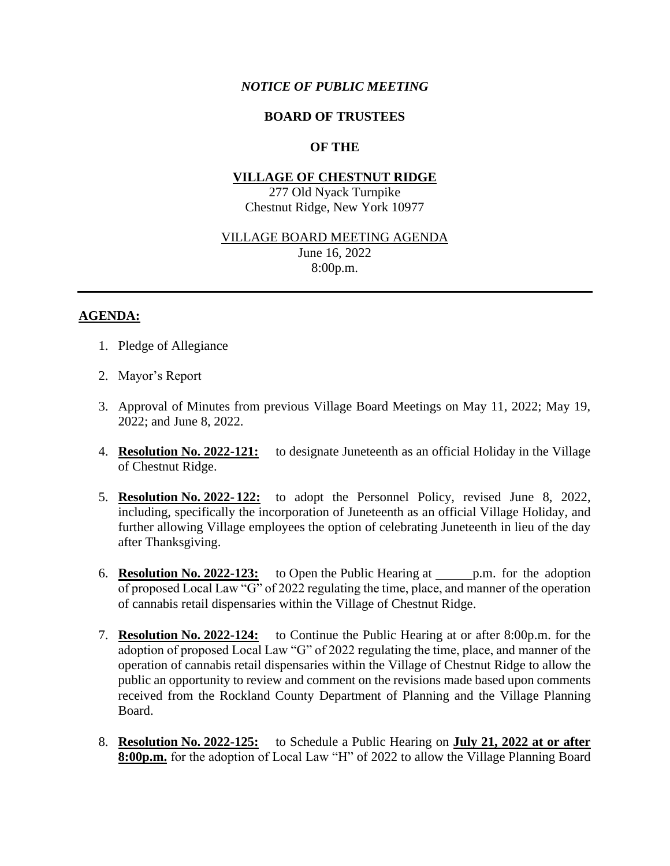## *NOTICE OF PUBLIC MEETING*

### **BOARD OF TRUSTEES**

# **OF THE**

#### **VILLAGE OF CHESTNUT RIDGE**

277 Old Nyack Turnpike Chestnut Ridge, New York 10977

#### VILLAGE BOARD MEETING AGENDA

June 16, 2022 8:00p.m.

### **AGENDA:**

- 1. Pledge of Allegiance
- 2. Mayor's Report
- 3. Approval of Minutes from previous Village Board Meetings on May 11, 2022; May 19, 2022; and June 8, 2022.
- 4. **Resolution No. 2022-121:** to designate Juneteenth as an official Holiday in the Village of Chestnut Ridge.
- 5. **Resolution No. 2022- 122:** to adopt the Personnel Policy, revised June 8, 2022, including, specifically the incorporation of Juneteenth as an official Village Holiday, and further allowing Village employees the option of celebrating Juneteenth in lieu of the day after Thanksgiving.
- 6. **Resolution No. 2022-123:** to Open the Public Hearing at p.m. for the adoption of proposed Local Law "G" of 2022 regulating the time, place, and manner of the operation of cannabis retail dispensaries within the Village of Chestnut Ridge.
- 7. **Resolution No. 2022-124:** to Continue the Public Hearing at or after 8:00p.m. for the adoption of proposed Local Law "G" of 2022 regulating the time, place, and manner of the operation of cannabis retail dispensaries within the Village of Chestnut Ridge to allow the public an opportunity to review and comment on the revisions made based upon comments received from the Rockland County Department of Planning and the Village Planning Board.
- 8. **Resolution No. 2022-125:** to Schedule a Public Hearing on **July 21, 2022 at or after 8:00p.m.** for the adoption of Local Law "H" of 2022 to allow the Village Planning Board